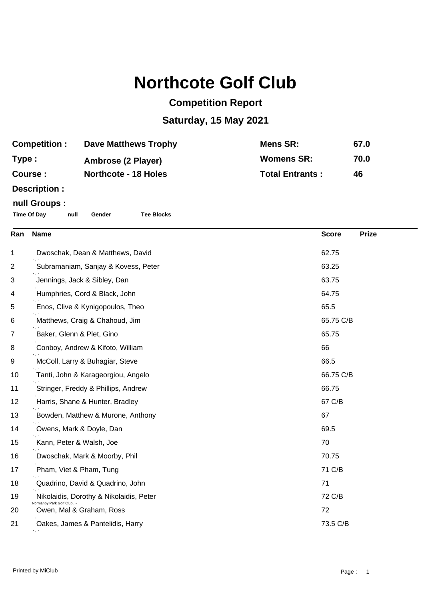## **Northcote Golf Club**

## **Competition Report**

## **Saturday, 15 May 2021**

| <b>Competition:</b> | <b>Dave Matthews Trophy</b> | Mens SR:               | 67.0 |
|---------------------|-----------------------------|------------------------|------|
| Type :              | Ambrose (2 Player)          | <b>Womens SR:</b>      | 70.0 |
| <b>Course :</b>     | <b>Northcote - 18 Holes</b> | <b>Total Entrants:</b> | 46   |
|                     |                             |                        |      |

**Description :**

## **null Groups :**

**Time Of Day null Gender Tee Blocks**

| Ran | <b>Name</b>                                          | <b>Score</b> | <b>Prize</b> |
|-----|------------------------------------------------------|--------------|--------------|
| 1   | Dwoschak, Dean & Matthews, David                     | 62.75        |              |
| 2   | Subramaniam, Sanjay & Kovess, Peter                  | 63.25        |              |
| 3   | Jennings, Jack & Sibley, Dan                         | 63.75        |              |
| 4   | Humphries, Cord & Black, John                        | 64.75        |              |
| 5   | Enos, Clive & Kynigopoulos, Theo                     | 65.5         |              |
| 6   | Matthews, Craig & Chahoud, Jim                       | 65.75 C/B    |              |
| 7   | Baker, Glenn & Plet, Gino                            | 65.75        |              |
| 8   | Conboy, Andrew & Kifoto, William                     | 66           |              |
| 9   | McColl, Larry & Buhagiar, Steve                      | 66.5         |              |
| 10  | Tanti, John & Karageorgiou, Angelo                   | 66.75 C/B    |              |
| 11  | Stringer, Freddy & Phillips, Andrew                  | 66.75        |              |
| 12  | Harris, Shane & Hunter, Bradley                      | 67 C/B       |              |
| 13  | Bowden, Matthew & Murone, Anthony                    | 67           |              |
| 14  | Owens, Mark & Doyle, Dan                             | 69.5         |              |
| 15  | Kann, Peter & Walsh, Joe                             | 70           |              |
| 16  | Dwoschak, Mark & Moorby, Phil                        | 70.75        |              |
| 17  | Pham, Viet & Pham, Tung                              | 71 C/B       |              |
| 18  | Quadrino, David & Quadrino, John                     | 71           |              |
| 19  | Nikolaidis, Dorothy & Nikolaidis, Peter              | 72 C/B       |              |
| 20  | Normanby Park Golf Club.<br>Owen, Mal & Graham, Ross | 72           |              |
| 21  | Oakes, James & Pantelidis, Harry                     | 73.5 C/B     |              |
|     |                                                      |              |              |